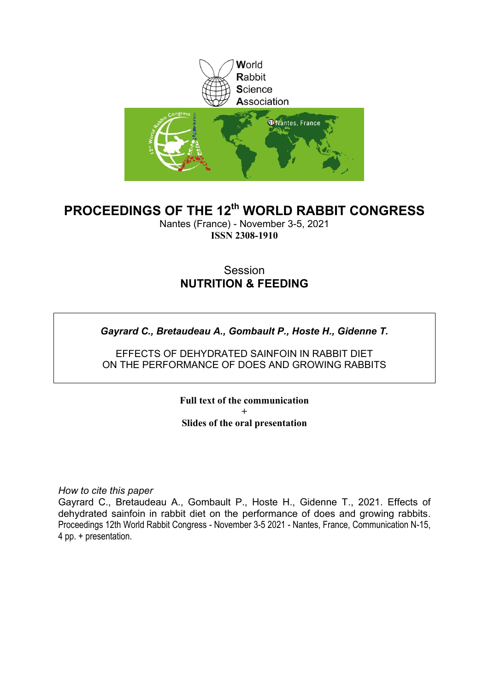

### **PROCEEDINGS OF THE 12th WORLD RABBIT CONGRESS**

Nantes (France) - November 3-5, 2021 **ISSN 2308-1910**

#### Session **NUTRITION & FEEDING**

*Gayrard C., Bretaudeau A., Gombault P., Hoste H., Gidenne T.*

EFFECTS OF DEHYDRATED SAINFOIN IN RABBIT DIET ON THE PERFORMANCE OF DOES AND GROWING RABBITS

> **Full text of the communication + Slides of the oral presentation**

*How to cite this paper*

Gayrard C., Bretaudeau A., Gombault P., Hoste H., Gidenne T., 2021. Effects of dehydrated sainfoin in rabbit diet on the performance of does and growing rabbits. Proceedings 12th World Rabbit Congress - November 3-5 2021 - Nantes, France, Communication N-15, 4 pp. + presentation.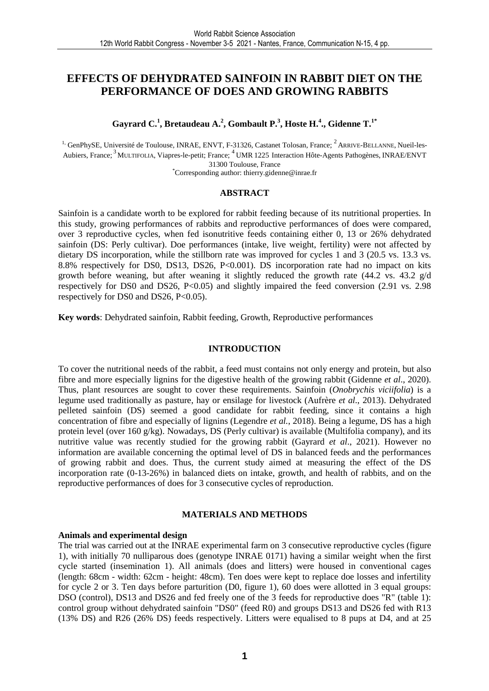#### **EFFECTS OF DEHYDRATED SAINFOIN IN RABBIT DIET ON THE PERFORMANCE OF DOES AND GROWING RABBITS**

**Gayrard C.<sup>1</sup> , Bretaudeau A.<sup>2</sup> , Gombault P.<sup>3</sup> , Hoste H.<sup>4</sup> ., Gidenne T.1\***

<sup>1,</sup> GenPhySE, Université de Toulouse, INRAE, ENVT, F-31326, Castanet Tolosan, France; <sup>2</sup> ARRIVE-BELLANNE, Nueil-les-Aubiers, France; <sup>3</sup> MULTIFOLIA, Viapres-le-petit; France; <sup>4</sup> UMR 1225 Interaction Hôte-Agents Pathogènes, INRAE/ENVT 31300 Toulouse, France \*Corresponding author: thierry.gidenne@inrae.fr

#### **ABSTRACT**

Sainfoin is a candidate worth to be explored for rabbit feeding because of its nutritional properties. In this study, growing performances of rabbits and reproductive performances of does were compared, over 3 reproductive cycles, when fed isonutritive feeds containing either 0, 13 or 26% dehydrated sainfoin (DS: Perly cultivar). Doe performances (intake, live weight, fertility) were not affected by dietary DS incorporation, while the stillborn rate was improved for cycles 1 and 3 (20.5 vs. 13.3 vs. 8.8% respectively for DS0, DS13, DS26, P<0.001). DS incorporation rate had no impact on kits growth before weaning, but after weaning it slightly reduced the growth rate  $(44.2 \text{ vs. } 43.2 \text{ g/d})$ respectively for DS0 and DS26, P<0.05) and slightly impaired the feed conversion (2.91 vs. 2.98 respectively for DS0 and DS26, P<0.05).

**Key words**: Dehydrated sainfoin, Rabbit feeding, Growth, Reproductive performances

#### **INTRODUCTION**

To cover the nutritional needs of the rabbit, a feed must contains not only energy and protein, but also fibre and more especially lignins for the digestive health of the growing rabbit (Gidenne *et al*., 2020). Thus, plant resources are sought to cover these requirements. Sainfoin (*Onobrychis viciifolia*) is a legume used traditionally as pasture, hay or ensilage for livestock (Aufrère *et al.*, 2013). Dehydrated pelleted sainfoin (DS) seemed a good candidate for rabbit feeding, since it contains a high concentration of fibre and especially of lignins (Legendre *et al.*, 2018). Being a legume, DS has a high protein level (over 160 g/kg). Nowadays, DS (Perly cultivar) is available (Multifolia company), and its nutritive value was recently studied for the growing rabbit (Gayrard *et al*., 2021). However no information are available concerning the optimal level of DS in balanced feeds and the performances of growing rabbit and does. Thus, the current study aimed at measuring the effect of the DS incorporation rate (0-13-26%) in balanced diets on intake, growth, and health of rabbits, and on the reproductive performances of does for 3 consecutive cycles of reproduction.

#### **MATERIALS AND METHODS**

#### **Animals and experimental design**

The trial was carried out at the INRAE experimental farm on 3 consecutive reproductive cycles (figure 1), with initially 70 nulliparous does (genotype INRAE 0171) having a similar weight when the first cycle started (insemination 1). All animals (does and litters) were housed in conventional cages (length: 68cm - width: 62cm - height: 48cm). Ten does were kept to replace doe losses and infertility for cycle 2 or 3. Ten days before parturition (D0, figure 1), 60 does were allotted in 3 equal groups: DSO (control), DS13 and DS26 and fed freely one of the 3 feeds for reproductive does "R" (table 1): control group without dehydrated sainfoin "DS0" (feed R0) and groups DS13 and DS26 fed with R13 (13% DS) and R26 (26% DS) feeds respectively. Litters were equalised to 8 pups at D4, and at 25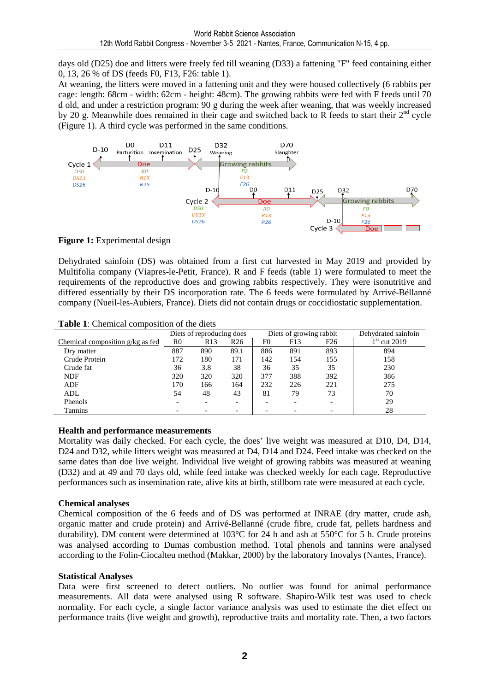days old (D25) doe and litters were freely fed till weaning (D33) a fattening "F" feed containing either 0, 13, 26 % of DS (feeds F0, F13, F26: table 1).

At weaning, the litters were moved in a fattening unit and they were housed collectively (6 rabbits per cage: length: 68cm - width: 62cm - height: 48cm). The growing rabbits were fed with F feeds until 70 d old, and under a restriction program: 90 g during the week after weaning, that was weekly increased by 20 g. Meanwhile does remained in their cage and switched back to R feeds to start their 2<sup>nd</sup> cycle (Figure 1). A third cycle was performed in the same conditions.



**Figure 1:** Experimental design

Dehydrated sainfoin (DS) was obtained from a first cut harvested in May 2019 and provided by Multifolia company (Viapres-le-Petit, France). R and F feeds (table 1) were formulated to meet the requirements of the reproductive does and growing rabbits respectively. They were isonutritive and differed essentially by their DS incorporation rate. The 6 feeds were formulated by Arrivé-Béllanné company (Nueil-les-Aubiers, France). Diets did not contain drugs or coccidiostatic supplementation.

|                                  | Diets of reproducing does |     |                 |     | Diets of growing rabbit | Dehydrated sainfoin |                |
|----------------------------------|---------------------------|-----|-----------------|-----|-------------------------|---------------------|----------------|
| Chemical composition g/kg as fed | R <sub>0</sub>            | R13 | R <sub>26</sub> | F0  | F <sub>13</sub>         | F <sub>26</sub>     | $1st$ cut 2019 |
| Dry matter                       | 887                       | 890 | 89.1            | 886 | 891                     | 893                 | 894            |
| Crude Protein                    | 172                       | 180 | 171             | 142 | 154                     | 155                 | 158            |
| Crude fat                        | 36                        | 3.8 | 38              | 36  | 35                      | 35                  | 230            |
| <b>NDF</b>                       | 320                       | 320 | 320             | 377 | 388                     | 392                 | 386            |
| ADF                              | 170                       | 166 | 164             | 232 | 226                     | 221                 | 275            |
| ADL                              | 54                        | 48  | 43              | 81  | 79                      | 73                  | 70             |
| Phenols                          |                           |     |                 |     |                         |                     | 29             |
| Tannins                          |                           |     |                 |     |                         |                     | 28             |

**Table 1**: Chemical composition of the diets

#### **Health and performance measurements**

Mortality was daily checked. For each cycle, the does' live weight was measured at D10, D4, D14, D<sub>24</sub> and D<sub>32</sub>, while litters weight was measured at D<sub>4</sub>, D<sub>14</sub> and D<sub>24</sub>. Feed intake was checked on the same dates than doe live weight. Individual live weight of growing rabbits was measured at weaning (D32) and at 49 and 70 days old, while feed intake was checked weekly for each cage. Reproductive performances such as insemination rate, alive kits at birth, stillborn rate were measured at each cycle.

#### **Chemical analyses**

Chemical composition of the 6 feeds and of DS was performed at INRAE (dry matter, crude ash, organic matter and crude protein) and Arrivé-Bellanné (crude fibre, crude fat, pellets hardness and durability). DM content were determined at 103°C for 24 h and ash at 550°C for 5 h. Crude proteins was analysed according to Dumas combustion method. Total phenols and tannins were analysed according to the Folin-Ciocalteu method (Makkar, 2000) by the laboratory Inovalys (Nantes, France).

#### **Statistical Analyses**

Data were first screened to detect outliers. No outlier was found for animal performance measurements. All data were analysed using R software. Shapiro-Wilk test was used to check normality. For each cycle, a single factor variance analysis was used to estimate the diet effect on performance traits (live weight and growth), reproductive traits and mortality rate. Then, a two factors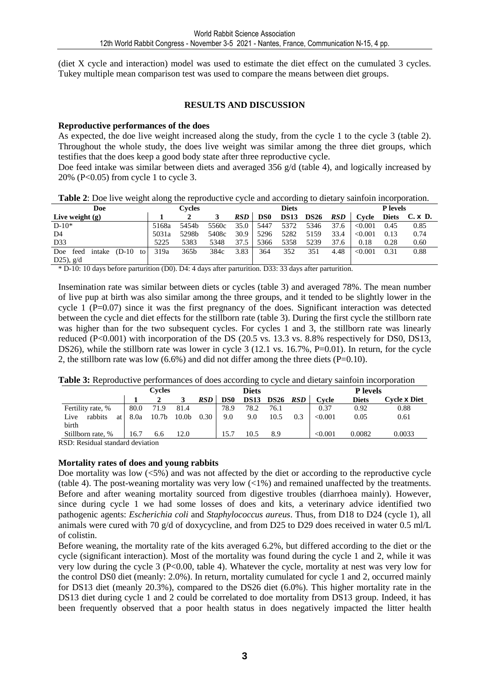(diet X cycle and interaction) model was used to estimate the diet effect on the cumulated 3 cycles. Tukey multiple mean comparison test was used to compare the means between diet groups.

#### **RESULTS AND DISCUSSION**

#### **Reproductive performances of the does**

As expected, the doe live weight increased along the study, from the cycle 1 to the cycle 3 (table 2). Throughout the whole study, the does live weight was similar among the three diet groups, which testifies that the does keep a good body state after three reproductive cycle.

Doe feed intake was similar between diets and averaged 356 g/d (table 4), and logically increased by 20% (P<0.05) from cycle 1 to cycle 3.

|                             | <b>Table 2.</b> Doe live weight along the reproductive eyele and according to dictary samfold meorporation. |                  |       |      |                 |             |             |            |                 |              |                |
|-----------------------------|-------------------------------------------------------------------------------------------------------------|------------------|-------|------|-----------------|-------------|-------------|------------|-----------------|--------------|----------------|
| Doe                         | Cvcles                                                                                                      |                  |       |      | <b>Diets</b>    |             |             |            | <b>P</b> levels |              |                |
| Live weight $(g)$           |                                                                                                             |                  |       | RSD  | DS <sub>0</sub> | <b>DS13</b> | <b>DS26</b> | <b>RSD</b> | Cycle           | <b>Diets</b> | $C. \times D.$ |
| $D-10*$                     | 5168a                                                                                                       | 5454b            | 5560c | 35.0 | 5447            | 5372        | 5346        | 37.6       | < 0.001         | 0.45         | 0.85           |
| D <sub>4</sub>              | 5031a                                                                                                       | 5298b            | 5408c | 30.9 | 5296            | 5282        | 5159        | 33.4       | < 0.001         | 0.13         | 0.74           |
| D33                         | 5225                                                                                                        | 5383             | 5348  | 37.5 | 5366            | 5358        | 5239        | 37.6       | 0.18            | 0.28         | 0.60           |
| Doe feed intake (D-10<br>to | 319a                                                                                                        | 365 <sub>b</sub> | 384c  | 3.83 | 364             | 352         | 351         | 4.48       | < 0.001         | 0.31         | 0.88           |
| D25), $g/d$                 |                                                                                                             |                  |       |      |                 |             |             |            |                 |              |                |

**Table 2**: Doe live weight along the reproductive cycle and according to dietary sainfoin incorporation.

\* D-10: 10 days before parturition (D0). D4: 4 days after parturition. D33: 33 days after parturition.

Insemination rate was similar between diets or cycles (table 3) and averaged 78%. The mean number of live pup at birth was also similar among the three groups, and it tended to be slightly lower in the cycle 1 (P=0.07) since it was the first pregnancy of the does. Significant interaction was detected between the cycle and diet effects for the stillborn rate (table 3). During the first cycle the stillborn rate was higher than for the two subsequent cycles. For cycles 1 and 3, the stillborn rate was linearly reduced (P<0.001) with incorporation of the DS (20.5 vs. 13.3 vs. 8.8% respectively for DS0, DS13, DS26), while the stillborn rate was lower in cycle 3 (12.1 vs. 16.7%, P=0.01). In return, for the cycle 2, the stillborn rate was low  $(6.6\%)$  and did not differ among the three diets  $(P=0.10)$ .

**Table 3:** Reproductive performances of does according to cycle and dietary sainfoin incorporation

|                       |      | <b>Cycles</b>     |                   |            |      | <b>Diets</b> |             |            |         | <b>P</b> levels |                     |
|-----------------------|------|-------------------|-------------------|------------|------|--------------|-------------|------------|---------|-----------------|---------------------|
|                       |      |                   |                   | <b>RSD</b> | DS0  | <b>DS13</b>  | <b>DS26</b> | <b>RSD</b> | Cvcle   | <b>Diets</b>    | Cvcle <b>x</b> Diet |
| Fertility rate, %     | 80.0 | 71.9              | 81.4              |            | 78.9 | 78.2         | 76.1        |            | 0.37    | 0.92            | 0.88                |
| rabbits<br>Live<br>at | 8.0a | 10.7 <sub>b</sub> | 10.0 <sub>b</sub> | 0.30       | 9.0  | 9.0          | 10.5        | 0.3        | < 0.001 | 0.05            | 0.61                |
| birth                 |      |                   |                   |            |      |              |             |            |         |                 |                     |
| Stillborn rate, %     | 16.7 | 6.6               | 12.0              |            | 15.7 | 10.5         | 8.9         |            | < 0.001 | 0.0082          | 0.0033              |
|                       |      |                   |                   |            |      |              |             |            |         |                 |                     |

RSD: Residual standard deviation

#### **Mortality rates of does and young rabbits**

Doe mortality was low  $\langle 5\% \rangle$  and was not affected by the diet or according to the reproductive cycle (table 4). The post-weaning mortality was very low  $\left(\langle 1\% \right)$  and remained unaffected by the treatments. Before and after weaning mortality sourced from digestive troubles (diarrhoea mainly). However, since during cycle 1 we had some losses of does and kits, a veterinary advice identified two pathogenic agents: *Escherichia coli* and *Staphylococcus aureus*. Thus, from D18 to D24 (cycle 1), all animals were cured with 70 g/d of doxycycline, and from D25 to D29 does received in water 0.5 ml/L of colistin.

Before weaning, the mortality rate of the kits averaged 6.2%, but differed according to the diet or the cycle (significant interaction). Most of the mortality was found during the cycle 1 and 2, while it was very low during the cycle 3 (P<0.00, table 4). Whatever the cycle, mortality at nest was very low for the control DS0 diet (meanly: 2.0%). In return, mortality cumulated for cycle 1 and 2, occurred mainly for DS13 diet (meanly 20.3%), compared to the DS26 diet (6.0%). This higher mortality rate in the DS13 diet during cycle 1 and 2 could be correlated to doe mortality from DS13 group. Indeed, it has been frequently observed that a poor health status in does negatively impacted the litter health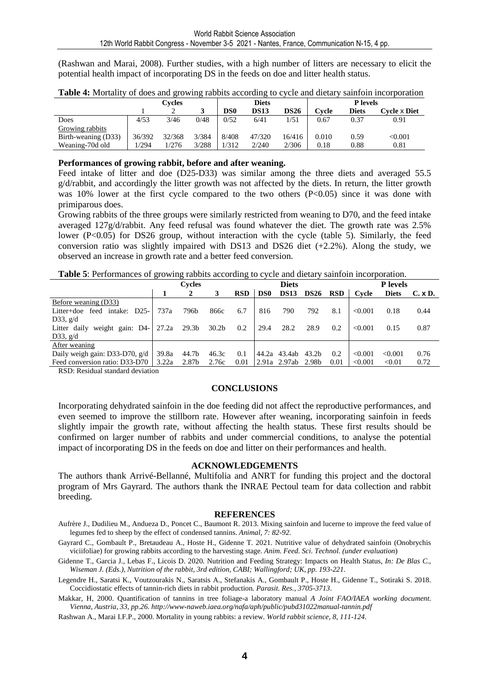(Rashwan and Marai, 2008). Further studies, with a high number of litters are necessary to elicit the potential health impact of incorporating DS in the feeds on doe and litter health status.

|                     |        | Cvcles |       |                 | <b>Diets</b> |             |       | P levels |                |  |  |
|---------------------|--------|--------|-------|-----------------|--------------|-------------|-------|----------|----------------|--|--|
|                     |        |        |       | DS <sub>0</sub> | <b>DS13</b>  | <b>DS26</b> | Cvcle | Diets    | Cvcle x Diet   |  |  |
| Does                | 4/53   | 3/46   | 0/48  | 0/52            | 6/41         | 1/51        | 0.67  | 0.37     | 0.91           |  |  |
| Growing rabbits     |        |        |       |                 |              |             |       |          |                |  |  |
| Birth-weaning (D33) | 36/392 | 32/368 | 3/384 | 8/408           | 47/320       | 16/416      | 0.010 | 0.59     | $< \!\! 0.001$ |  |  |
| Weaning-70d old     | /294   | 1/276  | 3/288 | 1/312           | 2/240        | 2/306       | 0.18  | 0.88     | 0.81           |  |  |

| Table 4: Mortality of does and growing rabbits according to cycle and dietary sainfoin incorporation |  |  |
|------------------------------------------------------------------------------------------------------|--|--|
|                                                                                                      |  |  |

#### **Performances of growing rabbit, before and after weaning.**

Feed intake of litter and doe (D25-D33) was similar among the three diets and averaged 55.5 g/d/rabbit, and accordingly the litter growth was not affected by the diets. In return, the litter growth was 10% lower at the first cycle compared to the two others (P<0.05) since it was done with primiparous does.

Growing rabbits of the three groups were similarly restricted from weaning to D70, and the feed intake averaged 127g/d/rabbit. Any feed refusal was found whatever the diet. The growth rate was 2.5% lower (P<0.05) for DS26 group, without interaction with the cycle (table 5). Similarly, the feed conversion ratio was slightly impaired with DS13 and DS26 diet  $(+2.2\%)$ . Along the study, we observed an increase in growth rate and a better feed conversion.

**Table 5**: Performances of growing rabbits according to cycle and dietary sainfoin incorporation.

|                                    | Cvcles |                   |                   |            | <b>Diets</b>    |              |             |            | <b>P</b> levels |              |                |
|------------------------------------|--------|-------------------|-------------------|------------|-----------------|--------------|-------------|------------|-----------------|--------------|----------------|
|                                    |        |                   |                   | <b>RSD</b> | DS <sub>0</sub> | <b>DS13</b>  | <b>DS26</b> | <b>RSD</b> | Cycle           | <b>Diets</b> | $C. \times D.$ |
| Before weaning (D33)               |        |                   |                   |            |                 |              |             |            |                 |              |                |
| Litter+doe feed intake: D25-1      | 737a   | 796b              | 866с              | 6.7        | 816             | 790          | 792         | 8.1        | < 0.001         | 0.18         | 0.44           |
| D33, $g/d$                         |        |                   |                   |            |                 |              |             |            |                 |              |                |
| weight gain: $D4-$<br>Litter daily | 27.2a  | 29.3 <sub>b</sub> | 30.2 <sub>b</sub> | 0.2        | 29.4            | 28.2         | 28.9        | 0.2        | < 0.001         | 0.15         | 0.87           |
| D33, $g/d$                         |        |                   |                   |            |                 |              |             |            |                 |              |                |
| After weaning                      |        |                   |                   |            |                 |              |             |            |                 |              |                |
| Daily weigh gain: D33-D70, $g/d$   | 39.8a  | 44.7b             | 46.3c             | 0.1        |                 | 44.2a 43.4ab | 43.2b       | 0.2        | < 0.001         | < 0.001      | 0.76           |
| Feed conversion ratio: D33-D70     | 3.22a  | 2.87b             | 2.76c             | 0.01       |                 | 2.91a 2.97ab | 2.98b       | 0.01       | < 0.001         | < 0.01       | 0.72           |

RSD: Residual standard deviation

#### **CONCLUSIONS**

Incorporating dehydrated sainfoin in the doe feeding did not affect the reproductive performances, and even seemed to improve the stillborn rate. However after weaning, incorporating sainfoin in feeds slightly impair the growth rate, without affecting the health status. These first results should be confirmed on larger number of rabbits and under commercial conditions, to analyse the potential impact of incorporating DS in the feeds on doe and litter on their performances and health.

#### **ACKNOWLEDGEMENTS**

The authors thank Arrivé-Bellanné, Multifolia and ANRT for funding this project and the doctoral program of Mrs Gayrard. The authors thank the INRAE Pectoul team for data collection and rabbit breeding.

#### **REFERENCES**

- Aufrère J., Dudilieu M., Andueza D., Poncet C., Baumont R. 2013. Mixing sainfoin and lucerne to improve the feed value of legumes fed to sheep by the effect of condensed tannins. *Animal, 7: 82-92.*
- Gayrard C., Gombault P., Bretaudeau A., Hoste H., Gidenne T. 2021. Nutritive value of dehydrated sainfoin (Onobrychis viciifoliae) for growing rabbits according to the harvesting stage. *Anim. Feed. Sci. Technol. (under evaluation*)
- Gidenne T., Garcia J., Lebas F., Licois D. 2020. Nutrition and Feeding Strategy: Impacts on Health Status, *In: De Blas C., Wiseman J. (Eds.), Nutrition of the rabbit, 3rd edition, CABI; Wallingford; UK, pp. 193-221.*
- Legendre H., Saratsi K., Voutzourakis N., Saratsis A., Stefanakis A., Gombault P., Hoste H., Gidenne T., Sotiraki S. 2018. Coccidiostatic effects of tannin-rich diets in rabbit production. *Parasit. Res., 3705-3713*.

Makkar, H, 2000. Quantification of tannins in tree foliage-a laboratory manual *A Joint FAO/IAEA working document. Vienna, Austria, 33, pp.26. http://www-naweb.iaea.org/nafa/aph/public/pubd31022manual-tannin.pdf* 

Rashwan A., Marai I.F.P., 2000. Mortality in young rabbits: a review. *World rabbit science, 8, 111-124.*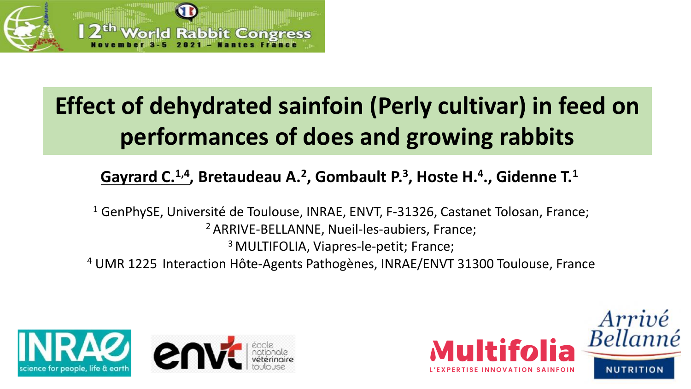

# **Effect of dehydrated sainfoin (Perly cultivar) in feed on performances of does and growing rabbits**

## **Gayrard C.1,4 , Bretaudeau A.<sup>2</sup> , Gombault P.<sup>3</sup> , Hoste H.<sup>4</sup> ., Gidenne T.<sup>1</sup>**

<sup>1</sup> GenPhySE, Université de Toulouse, INRAE, ENVT, F-31326, Castanet Tolosan, France; <sup>2</sup> ARRIVE-BELLANNE, Nueil-les-aubiers, France; <sup>3</sup> MULTIFOLIA, Viapres-le-petit; France; <sup>4</sup> UMR 1225 Interaction Hôte-Agents Pathogènes, INRAE/ENVT 31300 Toulouse, France



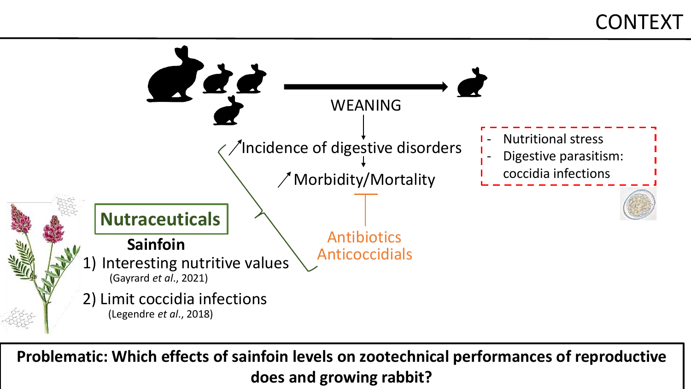## **CONTEXT**



**Problematic: Which effects of sainfoin levels on zootechnical performances of reproductive does and growing rabbit?**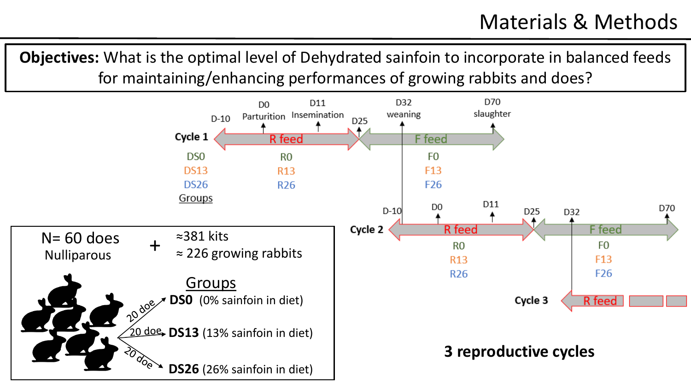**Objectives:** What is the optimal level of Dehydrated sainfoin to incorporate in balanced feeds for maintaining/enhancing performances of growing rabbits and does?

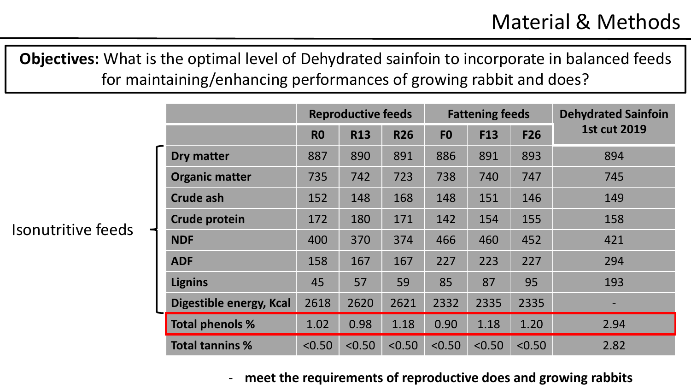**Objectives:** What is the optimal level of Dehydrated sainfoin to incorporate in balanced feeds for maintaining/enhancing performances of growing rabbit and does?

Isonutritive feeds

|                         |                | <b>Reproductive feeds</b> |            |                | <b>Fattening feeds</b> |            | <b>Dehydrated Sainfoin</b> |
|-------------------------|----------------|---------------------------|------------|----------------|------------------------|------------|----------------------------|
|                         | R <sub>0</sub> | <b>R13</b>                | <b>R26</b> | F <sub>0</sub> | <b>F13</b>             | <b>F26</b> | <b>1st cut 2019</b>        |
| <b>Dry matter</b>       | 887            | 890                       | 891        | 886            | 891                    | 893        | 894                        |
| <b>Organic matter</b>   | 735            | 742                       | 723        | 738            | 740                    | 747        | 745                        |
| <b>Crude ash</b>        | 152            | 148                       | 168        | 148            | 151                    | 146        | 149                        |
| <b>Crude protein</b>    | 172            | 180                       | 171        | 142            | 154                    | 155        | 158                        |
| <b>NDF</b>              | 400            | 370                       | 374        | 466            | 460                    | 452        | 421                        |
| <b>ADF</b>              | 158            | 167                       | 167        | 227            | 223                    | 227        | 294                        |
| <b>Lignins</b>          | 45             | 57                        | 59         | 85             | 87                     | 95         | 193                        |
| Digestible energy, Kcal | 2618           | 2620                      | 2621       | 2332           | 2335                   | 2335       |                            |
| <b>Total phenols %</b>  | 1.02           | 0.98                      | 1.18       | 0.90           | 1.18                   | 1.20       | 2.94                       |
| <b>Total tannins %</b>  | < 0.50         | < 0.50                    | < 0.50     | < 0.50         | < 0.50                 | < 0.50     | 2.82                       |

### - **meet the requirements of reproductive does and growing rabbits**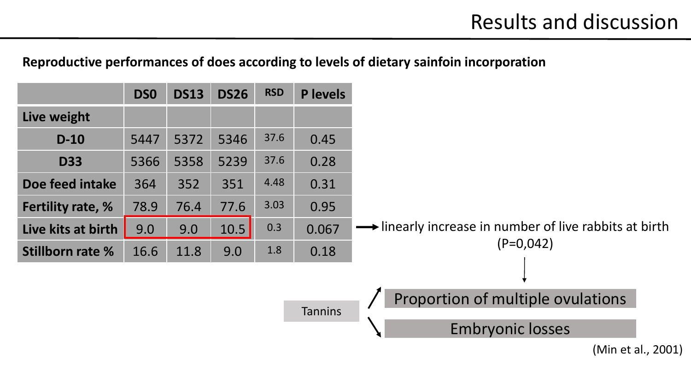## **Reproductive performances of does according to levels of dietary sainfoin incorporation**

|                          | <b>DSO</b> | <b>DS13</b> | <b>DS26</b> | <b>RSD</b> | <b>P</b> levels |                                                              |
|--------------------------|------------|-------------|-------------|------------|-----------------|--------------------------------------------------------------|
| Live weight              |            |             |             |            |                 |                                                              |
| $D-10$                   | 5447       | 5372        | 5346        | 37.6       | 0.45            |                                                              |
| <b>D33</b>               | 5366       | 5358        | 5239        | 37.6       | 0.28            |                                                              |
| Doe feed intake          | 364        | 352         | 351         | 4.48       | 0.31            |                                                              |
| <b>Fertility rate, %</b> | 78.9       | 76.4        | 77.6        | 3.03       | 0.95            |                                                              |
| Live kits at birth       | 9.0        | 9.0         | 10.5        | 0.3        | 0.067           | inearly increase in number of live rabbits at birth          |
| <b>Stillborn rate %</b>  | 16.6       | 11.8        | 9.0         | 1.8        | 0.18            | $(P=0.042)$                                                  |
|                          |            |             |             |            | <b>Tannins</b>  | Proportion of multiple ovulations<br><b>Embryonic losses</b> |

(Min et al., 2001)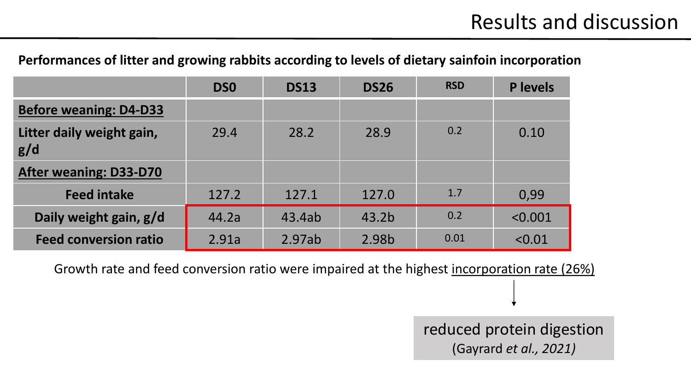## **Performances of litter and growing rabbits according to levels of dietary sainfoin incorporation**

|                                  | <b>DSO</b> | <b>DS13</b> | <b>DS26</b>       | <b>RSD</b> | <b>P</b> levels |
|----------------------------------|------------|-------------|-------------------|------------|-----------------|
| <b>Before weaning: D4-D33</b>    |            |             |                   |            |                 |
| Litter daily weight gain,<br>g/d | 29.4       | 28.2        | 28.9              | 0.2        | 0.10            |
| <b>After weaning: D33-D70</b>    |            |             |                   |            |                 |
| <b>Feed intake</b>               | 127.2      | 127.1       | 127.0             | 1.7        | 0,99            |
| Daily weight gain, g/d           | 44.2a      | 43.4ab      | 43.2 <sub>b</sub> | 0.2        | < 0.001         |
| <b>Feed conversion ratio</b>     | 2.91a      | 2.97ab      | 2.98b             | 0.01       | < 0.01          |

Growth rate and feed conversion ratio were impaired at the highest incorporation rate (26%)

reduced protein digestion (Gayrard *et al., 2021)*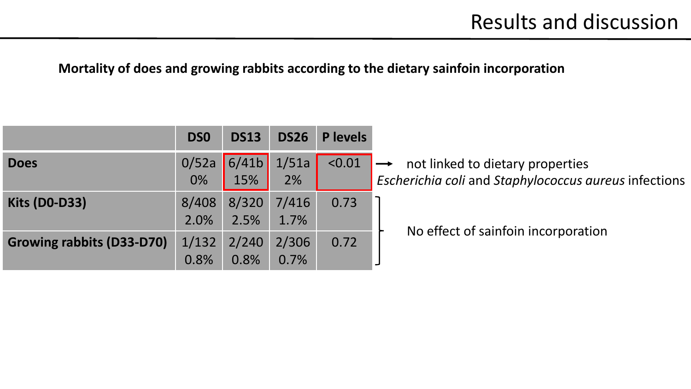## **Mortality of does and growing rabbits according to the dietary sainfoin incorporation**

|                                  | <b>DSO</b>    | <b>DS13</b>   | <b>DS26</b>   | P levels |                                                                                           |
|----------------------------------|---------------|---------------|---------------|----------|-------------------------------------------------------------------------------------------|
| <b>Does</b>                      | 0/52a<br>0%   | 6/41b<br>15%  | 1/51a<br>2%   | < 0.01   | not linked to dietary properties<br>Escherichia coli and Staphylococcus aureus infections |
| <b>Kits (D0-D33)</b>             | 8/408<br>2.0% | 8/320<br>2.5% | 7/416<br>1.7% | 0.73     |                                                                                           |
| <b>Growing rabbits (D33-D70)</b> | 1/132<br>0.8% | 2/240<br>0.8% | 2/306<br>0.7% | 0.72     | No effect of sainfoin incorporation                                                       |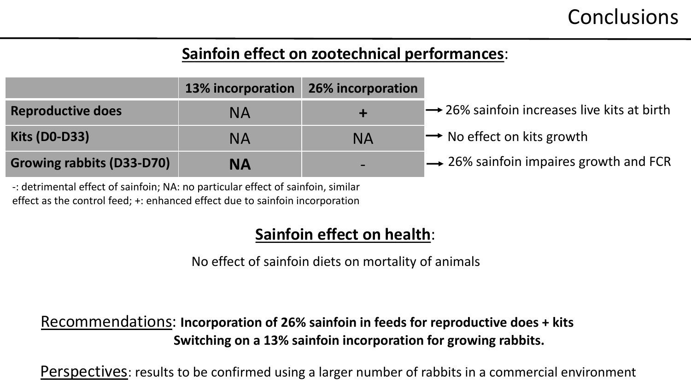## **Conclusions**

## **Sainfoin effect on zootechnical performances**:

|                                  | <b>13% incorporation</b> | 26% incorporation |                                                         |
|----------------------------------|--------------------------|-------------------|---------------------------------------------------------|
| <b>Reproductive does</b>         | ΝA                       |                   | $\rightarrow$ 26% sainfoin increases live kits at birth |
| <b>Kits (D0-D33)</b>             | ΝA                       | <b>NA</b>         | $\rightarrow$ No effect on kits growth                  |
| <b>Growing rabbits (D33-D70)</b> | ΝA                       |                   | $\rightarrow$ 26% sainfoin impaires growth and FCR      |

-: detrimental effect of sainfoin; NA: no particular effect of sainfoin, similar effect as the control feed; +: enhanced effect due to sainfoin incorporation

## **Sainfoin effect on health**:

No effect of sainfoin diets on mortality of animals

Recommendations: **Incorporation of 26% sainfoin in feeds for reproductive does + kits Switching on a 13% sainfoin incorporation for growing rabbits.** 

Perspectives: results to be confirmed using a larger number of rabbits in a commercial environment